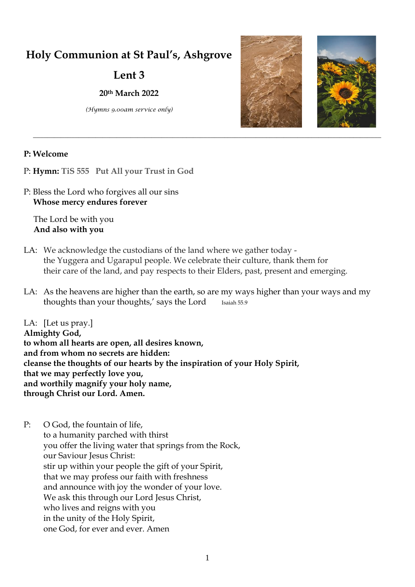# **Holy Communion at St Paul's, Ashgrove**

# **Lent 3**

## **20th March 2022**

*(Hymns 9.00am service only)*



#### **P: Welcome**

- P: **Hymn: TiS 555 Put All your Trust in God**
- P: Bless the Lord who forgives all our sins **Whose mercy endures forever**

The Lord be with you **And also with you**

- LA: We acknowledge the custodians of the land where we gather today the Yuggera and Ugarapul people. We celebrate their culture, thank them for their care of the land, and pay respects to their Elders, past, present and emerging.
- LA: As the heavens are higher than the earth, so are my ways higher than your ways and my thoughts than your thoughts,' says the Lord Isaiah 55.9

LA: [Let us pray.] **Almighty God, to whom all hearts are open, all desires known, and from whom no secrets are hidden: cleanse the thoughts of our hearts by the inspiration of your Holy Spirit, that we may perfectly love you, and worthily magnify your holy name, through Christ our Lord. Amen.** 

P: O God, the fountain of life, to a humanity parched with thirst you offer the living water that springs from the Rock, our Saviour Jesus Christ: stir up within your people the gift of your Spirit, that we may profess our faith with freshness and announce with joy the wonder of your love. We ask this through our Lord Jesus Christ, who lives and reigns with you in the unity of the Holy Spirit, one God, for ever and ever. Amen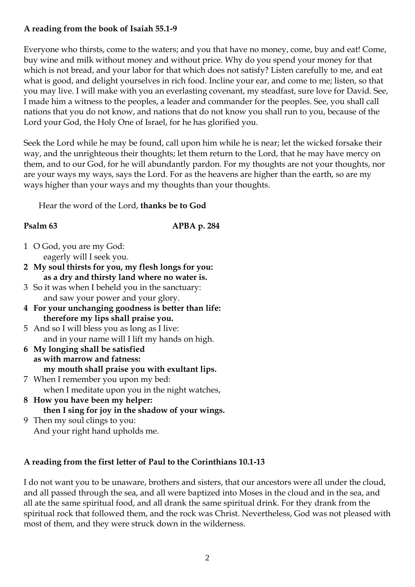# **A reading from the book of Isaiah 55.1-9**

Everyone who thirsts, come to the waters; and you that have no money, come, buy and eat! Come, buy wine and milk without money and without price. Why do you spend your money for that which is not bread, and your labor for that which does not satisfy? Listen carefully to me, and eat what is good, and delight yourselves in rich food. Incline your ear, and come to me; listen, so that you may live. I will make with you an everlasting covenant, my steadfast, sure love for David. See, I made him a witness to the peoples, a leader and commander for the peoples. See, you shall call nations that you do not know, and nations that do not know you shall run to you, because of the Lord your God, the Holy One of Israel, for he has glorified you.

Seek the Lord while he may be found, call upon him while he is near; let the wicked forsake their way, and the unrighteous their thoughts; let them return to the Lord, that he may have mercy on them, and to our God, for he will abundantly pardon. For my thoughts are not your thoughts, nor are your ways my ways, says the Lord. For as the heavens are higher than the earth, so are my ways higher than your ways and my thoughts than your thoughts.

Hear the word of the Lord, **thanks be to God**

## **Psalm 63 APBA p. 284**

- 1 O God, you are my God: eagerly will I seek you.
- **2 My soul thirsts for you, my flesh longs for you: as a dry and thirsty land where no water is.**
- 3 So it was when I beheld you in the sanctuary: and saw your power and your glory.
- **4 For your unchanging goodness is better than life: therefore my lips shall praise you.**
- 5 And so I will bless you as long as I live: and in your name will I lift my hands on high.
- **6 My longing shall be satisfied as with marrow and fatness: my mouth shall praise you with exultant lips.**
- 7 When I remember you upon my bed: when I meditate upon you in the night watches,
- **8 How you have been my helper: then I sing for joy in the shadow of your wings.**
- 9 Then my soul clings to you: And your right hand upholds me.

# **A reading from the first letter of Paul to the Corinthians 10.1-13**

I do not want you to be unaware, brothers and sisters, that our ancestors were all under the cloud, and all passed through the sea, and all were baptized into Moses in the cloud and in the sea, and all ate the same spiritual food, and all drank the same spiritual drink. For they drank from the spiritual rock that followed them, and the rock was Christ. Nevertheless, God was not pleased with most of them, and they were struck down in the wilderness.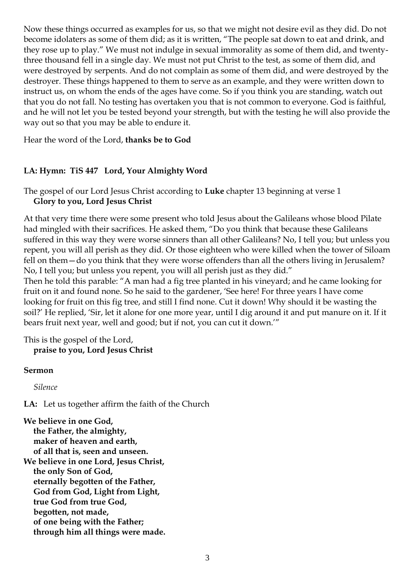Now these things occurred as examples for us, so that we might not desire evil as they did. Do not become idolaters as some of them did; as it is written, "The people sat down to eat and drink, and they rose up to play." We must not indulge in sexual immorality as some of them did, and twentythree thousand fell in a single day. We must not put Christ to the test, as some of them did, and were destroyed by serpents. And do not complain as some of them did, and were destroyed by the destroyer. These things happened to them to serve as an example, and they were written down to instruct us, on whom the ends of the ages have come. So if you think you are standing, watch out that you do not fall. No testing has overtaken you that is not common to everyone. God is faithful, and he will not let you be tested beyond your strength, but with the testing he will also provide the way out so that you may be able to endure it.

Hear the word of the Lord, **thanks be to God**

# **LA: Hymn: TiS 447 Lord, Your Almighty Word**

The gospel of our Lord Jesus Christ according to **Luke** chapter 13 beginning at verse 1 **Glory to you, Lord Jesus Christ**

At that very time there were some present who told Jesus about the Galileans whose blood Pilate had mingled with their sacrifices. He asked them, "Do you think that because these Galileans suffered in this way they were worse sinners than all other Galileans? No, I tell you; but unless you repent, you will all perish as they did. Or those eighteen who were killed when the tower of Siloam fell on them—do you think that they were worse offenders than all the others living in Jerusalem? No, I tell you; but unless you repent, you will all perish just as they did."

Then he told this parable: "A man had a fig tree planted in his vineyard; and he came looking for fruit on it and found none. So he said to the gardener, 'See here! For three years I have come looking for fruit on this fig tree, and still I find none. Cut it down! Why should it be wasting the soil?' He replied, 'Sir, let it alone for one more year, until I dig around it and put manure on it. If it bears fruit next year, well and good; but if not, you can cut it down.'"

This is the gospel of the Lord, **praise to you, Lord Jesus Christ**

#### **Sermon**

*Silence*

**LA:** Let us together affirm the faith of the Church

**We believe in one God, the Father, the almighty, maker of heaven and earth, of all that is, seen and unseen. We believe in one Lord, Jesus Christ, the only Son of God, eternally begotten of the Father, God from God, Light from Light, true God from true God, begotten, not made, of one being with the Father; through him all things were made.**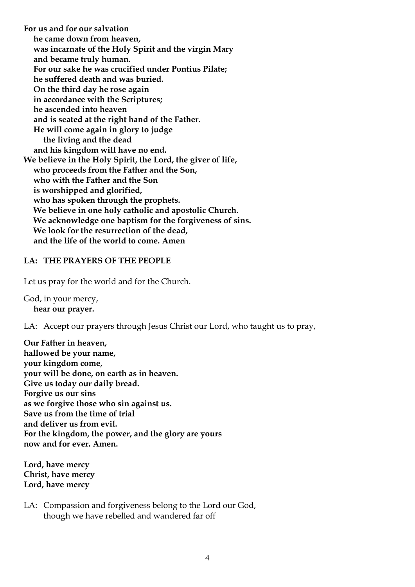**For us and for our salvation he came down from heaven, was incarnate of the Holy Spirit and the virgin Mary and became truly human. For our sake he was crucified under Pontius Pilate; he suffered death and was buried. On the third day he rose again in accordance with the Scriptures; he ascended into heaven and is seated at the right hand of the Father. He will come again in glory to judge the living and the dead and his kingdom will have no end. We believe in the Holy Spirit, the Lord, the giver of life, who proceeds from the Father and the Son, who with the Father and the Son is worshipped and glorified, who has spoken through the prophets. We believe in one holy catholic and apostolic Church. We acknowledge one baptism for the forgiveness of sins. We look for the resurrection of the dead, and the life of the world to come. Amen**

## **LA: THE PRAYERS OF THE PEOPLE**

Let us pray for the world and for the Church.

God, in your mercy, **hear our prayer.**

LA: Accept our prayers through Jesus Christ our Lord, who taught us to pray,

**Our Father in heaven, hallowed be your name, your kingdom come, your will be done, on earth as in heaven. Give us today our daily bread. Forgive us our sins as we forgive those who sin against us. Save us from the time of trial and deliver us from evil. For the kingdom, the power, and the glory are yours now and for ever. Amen.** 

**Lord, have mercy Christ, have mercy Lord, have mercy**

LA: Compassion and forgiveness belong to the Lord our God, though we have rebelled and wandered far off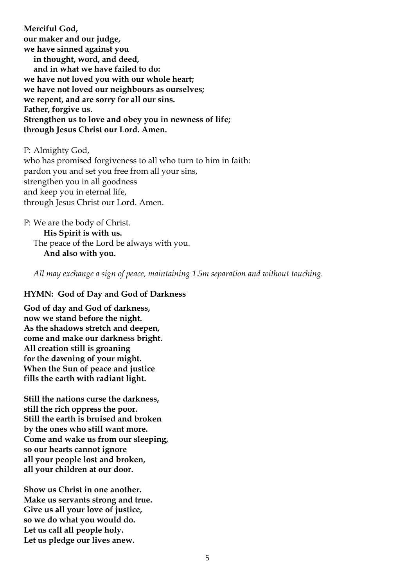**Merciful God, our maker and our judge, we have sinned against you in thought, word, and deed, and in what we have failed to do: we have not loved you with our whole heart; we have not loved our neighbours as ourselves; we repent, and are sorry for all our sins. Father, forgive us. Strengthen us to love and obey you in newness of life; through Jesus Christ our Lord. Amen.** 

P: Almighty God, who has promised forgiveness to all who turn to him in faith: pardon you and set you free from all your sins, strengthen you in all goodness and keep you in eternal life, through Jesus Christ our Lord. Amen.

P: We are the body of Christ. **His Spirit is with us.**  The peace of the Lord be always with you. **And also with you.** 

*All may exchange a sign of peace, maintaining 1.5m separation and without touching.*

#### **HYMN: God of Day and God of Darkness**

**God of day and God of darkness, now we stand before the night. As the shadows stretch and deepen, come and make our darkness bright. All creation still is groaning for the dawning of your might. When the Sun of peace and justice fills the earth with radiant light.**

**Still the nations curse the darkness, still the rich oppress the poor. Still the earth is bruised and broken by the ones who still want more. Come and wake us from our sleeping, so our hearts cannot ignore all your people lost and broken, all your children at our door.**

**Show us Christ in one another. Make us servants strong and true. Give us all your love of justice, so we do what you would do. Let us call all people holy. Let us pledge our lives anew.**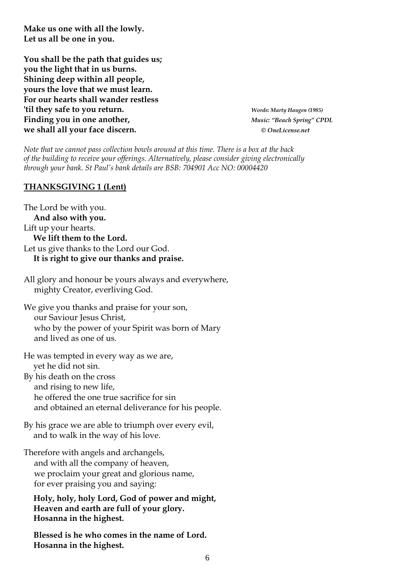**Make us one with all the lowly. Let us all be one in you.**

**You shall be the path that guides us; you the light that in us burns. Shining deep within all people, yours the love that we must learn. For our hearts shall wander restless 'til they safe to you return.** *Words***:** *[Marty Haugen](https://secure.wikimedia.org/wikipedia/en/wiki/Marty_Haugen) (1985)* **Finding you in one another,** *Music: "Beach Spring" CPDL* **we shall all your face discern.** *© OneLicense.net*

*Note that we cannot pass collection bowls around at this time. There is a box at the back of the building to receive your offerings. Alternatively, please consider giving electronically through your bank. St Paul's bank details are BSB: 704901 Acc NO: 00004420*

#### **THANKSGIVING 1 (Lent)**

The Lord be with you. **And also with you.**  Lift up your hearts. **We lift them to the Lord.**  Let us give thanks to the Lord our God. **It is right to give our thanks and praise.** 

All glory and honour be yours always and everywhere, mighty Creator, everliving God.

We give you thanks and praise for your son, our Saviour Jesus Christ, who by the power of your Spirit was born of Mary and lived as one of us.

He was tempted in every way as we are, yet he did not sin.

By his death on the cross and rising to new life, he offered the one true sacrifice for sin and obtained an eternal deliverance for his people.

By his grace we are able to triumph over every evil, and to walk in the way of his love.

Therefore with angels and archangels, and with all the company of heaven, we proclaim your great and glorious name, for ever praising you and saying:

**Holy, holy, holy Lord, God of power and might, Heaven and earth are full of your glory. Hosanna in the highest.**

**Blessed is he who comes in the name of Lord. Hosanna in the highest.**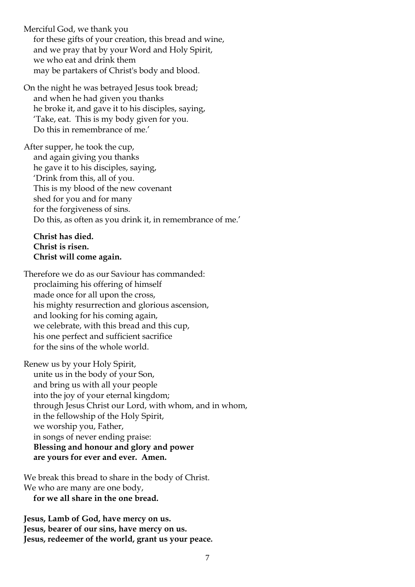Merciful God, we thank you for these gifts of your creation, this bread and wine, and we pray that by your Word and Holy Spirit, we who eat and drink them may be partakers of Christ's body and blood.

On the night he was betrayed Jesus took bread; and when he had given you thanks he broke it, and gave it to his disciples, saying, 'Take, eat. This is my body given for you. Do this in remembrance of me.'

After supper, he took the cup, and again giving you thanks he gave it to his disciples, saying, 'Drink from this, all of you. This is my blood of the new covenant shed for you and for many for the forgiveness of sins. Do this, as often as you drink it, in remembrance of me.'

#### **Christ has died. Christ is risen. Christ will come again.**

Therefore we do as our Saviour has commanded: proclaiming his offering of himself made once for all upon the cross, his mighty resurrection and glorious ascension, and looking for his coming again, we celebrate, with this bread and this cup, his one perfect and sufficient sacrifice for the sins of the whole world.

Renew us by your Holy Spirit, unite us in the body of your Son, and bring us with all your people into the joy of your eternal kingdom; through Jesus Christ our Lord, with whom, and in whom, in the fellowship of the Holy Spirit, we worship you, Father, in songs of never ending praise: **Blessing and honour and glory and power are yours for ever and ever. Amen.**

We break this bread to share in the body of Christ. We who are many are one body, **for we all share in the one bread.** 

**Jesus, Lamb of God, have mercy on us. Jesus, bearer of our sins, have mercy on us. Jesus, redeemer of the world, grant us your peace***.*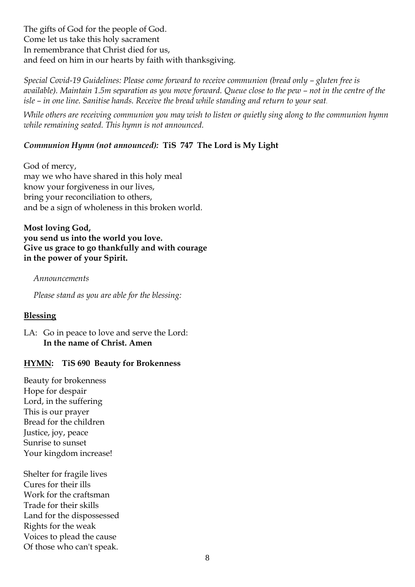The gifts of God for the people of God. Come let us take this holy sacrament In remembrance that Christ died for us, and feed on him in our hearts by faith with thanksgiving.

*Special Covid-19 Guidelines: Please come forward to receive communion (bread only – gluten free is available). Maintain 1.5m separation as you move forward. Queue close to the pew – not in the centre of the isle – in one line. Sanitise hands. Receive the bread while standing and return to your seat.* 

*While others are receiving communion you may wish to listen or quietly sing along to the communion hymn while remaining seated. This hymn is not announced.*

# *Communion Hymn (not announced):* **TiS 747 The Lord is My Light**

God of mercy, may we who have shared in this holy meal know your forgiveness in our lives, bring your reconciliation to others, and be a sign of wholeness in this broken world.

#### **Most loving God, you send us into the world you love. Give us grace to go thankfully and with courage in the power of your Spirit.**

#### *Announcements*

*Please stand as you are able for the blessing:*

# **Blessing**

#### LA: Go in peace to love and serve the Lord: **In the name of Christ. Amen**

# **HYMN: TiS 690 Beauty for Brokenness**

Beauty for brokenness Hope for despair Lord, in the suffering This is our prayer Bread for the children Justice, joy, peace Sunrise to sunset Your kingdom increase!

Shelter for fragile lives Cures for their ills Work for the craftsman Trade for their skills Land for the dispossessed Rights for the weak Voices to plead the cause Of those who can't speak.